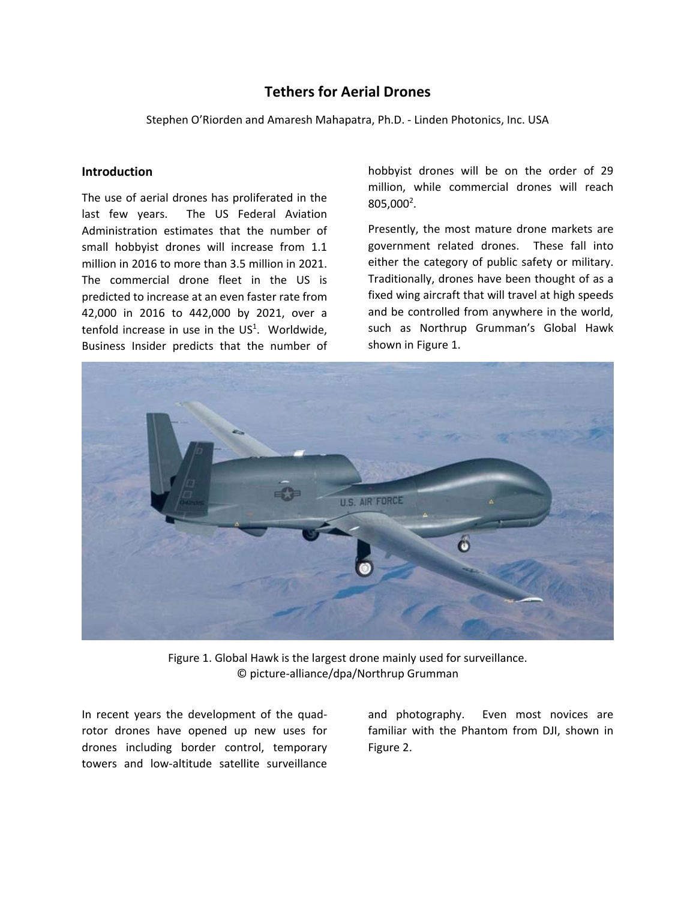# **Tethers for Aerial Drones**

Stephen O'Riorden and Amaresh Mahapatra, Ph.D. - Linden Photonics, Inc. USA

### **Introduction**

The use of aerial drones has proliferated in the last few years. The US Federal Aviation Administration estimates that the number of small hobbyist drones will increase from 1.1 million in 2016 to more than 3.5 million in 2021. The commercial drone fleet in the US is predicted to increase at an even faster rate from 42,000 in 2016 to 442,000 by 2021, over a tenfold increase in use in the  $US<sup>1</sup>$ . Worldwide, Business Insider predicts that the number of hobbyist drones will be on the order of 29 million, while commercial drones will reach  $805,000^2$ .

Presently, the most mature drone markets are government related drones. These fall into either the category of public safety or military. Traditionally, drones have been thought of as a fixed wing aircraft that will travel at high speeds and be controlled from anywhere in the world, such as Northrup Grumman's Global Hawk shown in Figure 1.



Figure 1. Global Hawk is the largest drone mainly used for surveillance. © picture-alliance/dpa/Northrup Grumman

In recent years the development of the quadrotor drones have opened up new uses for drones including border control, temporary towers and low-altitude satellite surveillance

and photography. Even most novices are familiar with the Phantom from DJI, shown in Figure 2.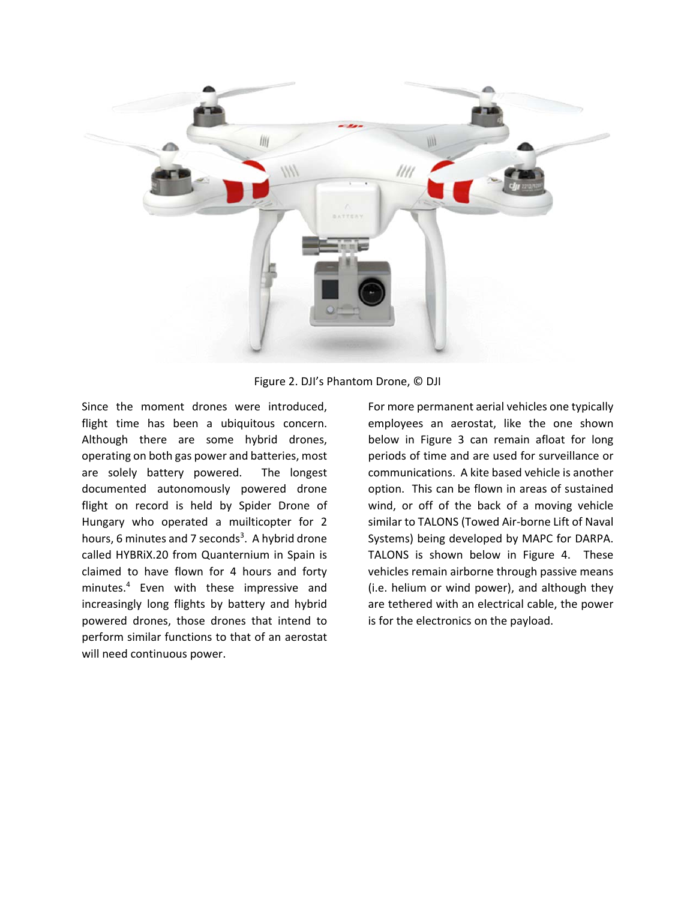



Since the moment drones were introduced, flight time has been a ubiquitous concern. Although there are some hybrid drones, operating on both gas power and batteries, most are solely battery powered. The longest documented autonomously powered drone flight on record is held by Spider Drone of Hungary who operated a muilticopter for 2 hours, 6 minutes and 7 seconds<sup>3</sup>. A hybrid drone called HYBRiX.20 from Quanternium in Spain is claimed to have flown for 4 hours and forty minutes.4 Even with these impressive and increasingly long flights by battery and hybrid powered drones, those drones that intend to perform similar functions to that of an aerostat will need continuous power.

For more permanent aerial vehicles one typically employees an aerostat, like the one shown below in Figure 3 can remain afloat for long periods of time and are used for surveillance or communications. A kite based vehicle is another option. This can be flown in areas of sustained wind, or off of the back of a moving vehicle similar to TALONS (Towed Air-borne Lift of Naval Systems) being developed by MAPC for DARPA. TALONS is shown below in Figure 4. These vehicles remain airborne through passive means (i.e. helium or wind power), and although they are tethered with an electrical cable, the power is for the electronics on the payload.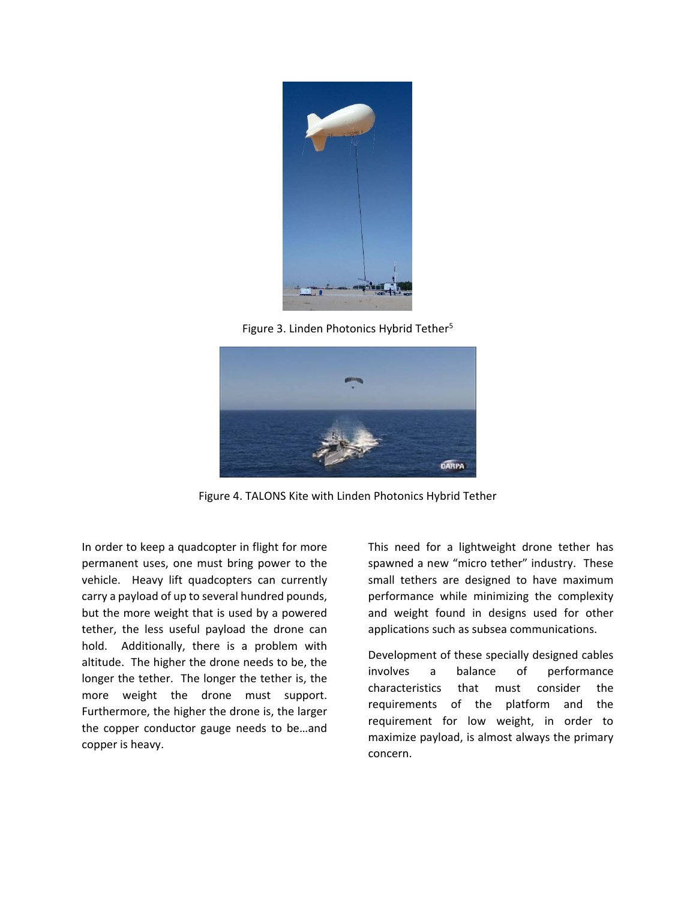

Figure 3. Linden Photonics Hybrid Tether<sup>5</sup>



Figure 4. TALONS Kite with Linden Photonics Hybrid Tether

In order to keep a quadcopter in flight for more permanent uses, one must bring power to the vehicle. Heavy lift quadcopters can currently carry a payload of up to several hundred pounds, but the more weight that is used by a powered tether, the less useful payload the drone can hold. Additionally, there is a problem with altitude. The higher the drone needs to be, the longer the tether. The longer the tether is, the more weight the drone must support. Furthermore, the higher the drone is, the larger the copper conductor gauge needs to be…and copper is heavy.

This need for a lightweight drone tether has spawned a new "micro tether" industry. These small tethers are designed to have maximum performance while minimizing the complexity and weight found in designs used for other applications such as subsea communications.

Development of these specially designed cables involves a balance of performance characteristics that must consider the requirements of the platform and the requirement for low weight, in order to maximize payload, is almost always the primary concern.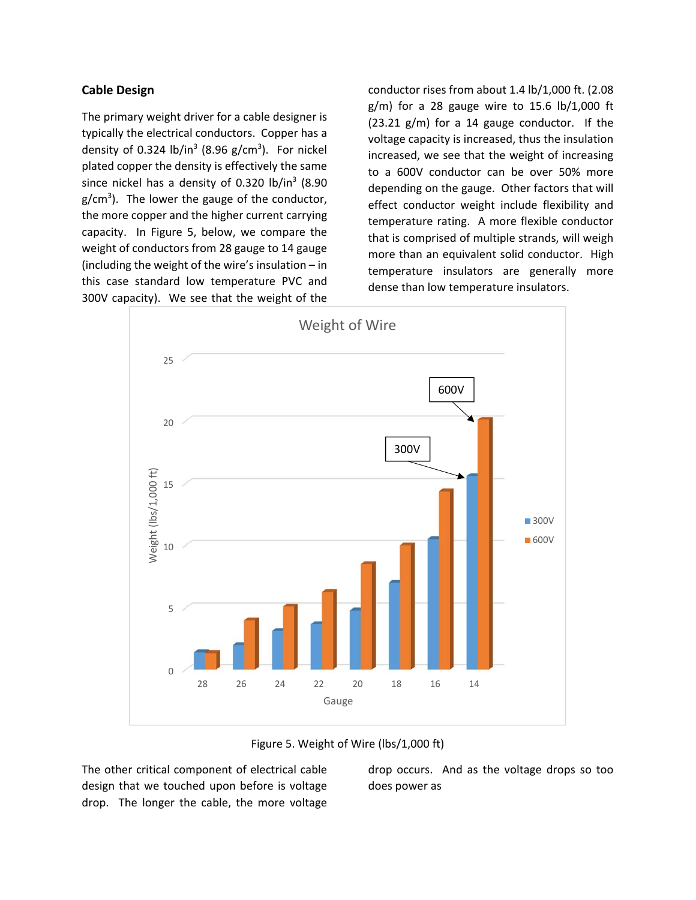### **Cable Design**

The primary weight driver for a cable designer is typically the electrical conductors. Copper has a density of 0.324  $lb/in^3$  (8.96 g/cm<sup>3</sup>). For nickel plated copper the density is effectively the same since nickel has a density of 0.320 lb/in<sup>3</sup> (8.90 g/cm<sup>3</sup>). The lower the gauge of the conductor, the more copper and the higher current carrying capacity. In Figure 5, below, we compare the weight of conductors from 28 gauge to 14 gauge (including the weight of the wire's insulation – in this case standard low temperature PVC and 300V capacity). We see that the weight of the

conductor rises from about 1.4 lb/1,000 ft. (2.08  $g/m$ ) for a 28 gauge wire to 15.6 lb/1,000 ft (23.21 g/m) for a 14 gauge conductor. If the voltage capacity is increased, thus the insulation increased, we see that the weight of increasing to a 600V conductor can be over 50% more depending on the gauge. Other factors that will effect conductor weight include flexibility and temperature rating. A more flexible conductor that is comprised of multiple strands, will weigh more than an equivalent solid conductor. High temperature insulators are generally more dense than low temperature insulators.





The other critical component of electrical cable design that we touched upon before is voltage drop. The longer the cable, the more voltage drop occurs. And as the voltage drops so too does power as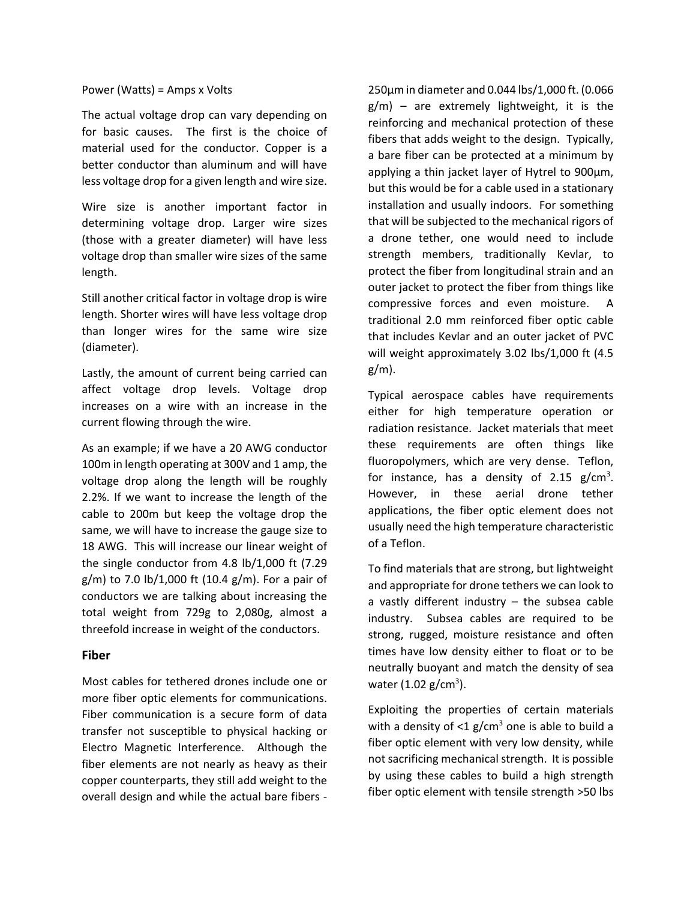Power (Watts) = Amps x Volts

The actual voltage drop can vary depending on for basic causes. The first is the choice of material used for the conductor. Copper is a better conductor than aluminum and will have less voltage drop for a given length and wire size.

Wire size is another important factor in determining voltage drop. Larger wire sizes (those with a greater diameter) will have less voltage drop than smaller wire sizes of the same length.

Still another critical factor in voltage drop is wire length. Shorter wires will have less voltage drop than longer wires for the same wire size (diameter).

Lastly, the amount of current being carried can affect voltage drop levels. Voltage drop increases on a wire with an increase in the current flowing through the wire.

As an example; if we have a 20 AWG conductor 100m in length operating at 300V and 1 amp, the voltage drop along the length will be roughly 2.2%. If we want to increase the length of the cable to 200m but keep the voltage drop the same, we will have to increase the gauge size to 18 AWG. This will increase our linear weight of the single conductor from 4.8 lb/1,000 ft (7.29 g/m) to 7.0 lb/1,000 ft (10.4 g/m). For a pair of conductors we are talking about increasing the total weight from 729g to 2,080g, almost a threefold increase in weight of the conductors.

### **Fiber**

Most cables for tethered drones include one or more fiber optic elements for communications. Fiber communication is a secure form of data transfer not susceptible to physical hacking or Electro Magnetic Interference. Although the fiber elements are not nearly as heavy as their copper counterparts, they still add weight to the overall design and while the actual bare fibers -

250µm in diameter and 0.044 lbs/1,000 ft. (0.066  $g/m$ ) – are extremely lightweight, it is the reinforcing and mechanical protection of these fibers that adds weight to the design. Typically, a bare fiber can be protected at a minimum by applying a thin jacket layer of Hytrel to 900µm, but this would be for a cable used in a stationary installation and usually indoors. For something that will be subjected to the mechanical rigors of a drone tether, one would need to include strength members, traditionally Kevlar, to protect the fiber from longitudinal strain and an outer jacket to protect the fiber from things like compressive forces and even moisture. A traditional 2.0 mm reinforced fiber optic cable that includes Kevlar and an outer jacket of PVC will weight approximately 3.02 lbs/1,000 ft (4.5 g/m).

Typical aerospace cables have requirements either for high temperature operation or radiation resistance. Jacket materials that meet these requirements are often things like fluoropolymers, which are very dense. Teflon, for instance, has a density of 2.15  $g/cm<sup>3</sup>$ . However, in these aerial drone tether applications, the fiber optic element does not usually need the high temperature characteristic of a Teflon.

To find materials that are strong, but lightweight and appropriate for drone tethers we can look to a vastly different industry  $-$  the subsea cable industry. Subsea cables are required to be strong, rugged, moisture resistance and often times have low density either to float or to be neutrally buoyant and match the density of sea water (1.02 g/cm<sup>3</sup>).

Exploiting the properties of certain materials with a density of  $\leq 1$  g/cm<sup>3</sup> one is able to build a fiber optic element with very low density, while not sacrificing mechanical strength. It is possible by using these cables to build a high strength fiber optic element with tensile strength >50 lbs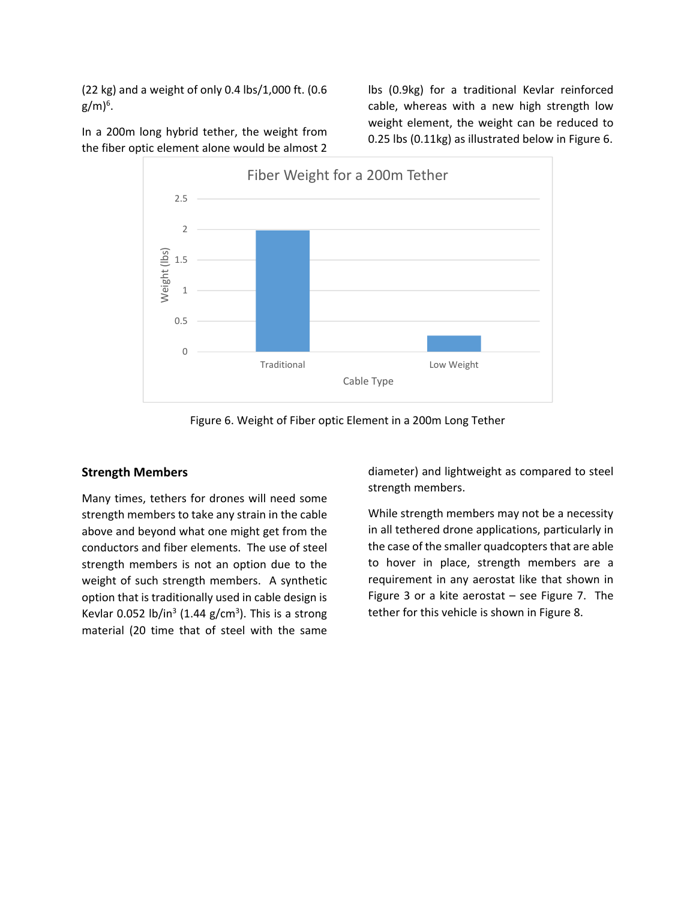(22 kg) and a weight of only 0.4 lbs/1,000 ft. (0.6 g/m) $^6$ .

In a 200m long hybrid tether, the weight from the fiber optic element alone would be almost 2

lbs (0.9kg) for a traditional Kevlar reinforced cable, whereas with a new high strength low weight element, the weight can be reduced to 0.25 lbs (0.11kg) as illustrated below in Figure 6.



Figure 6. Weight of Fiber optic Element in a 200m Long Tether

### **Strength Members**

Many times, tethers for drones will need some strength members to take any strain in the cable above and beyond what one might get from the conductors and fiber elements. The use of steel strength members is not an option due to the weight of such strength members. A synthetic option that is traditionally used in cable design is Kevlar 0.052 lb/in<sup>3</sup> (1.44 g/cm<sup>3</sup>). This is a strong material (20 time that of steel with the same

diameter) and lightweight as compared to steel strength members.

While strength members may not be a necessity in all tethered drone applications, particularly in the case of the smaller quadcopters that are able to hover in place, strength members are a requirement in any aerostat like that shown in Figure 3 or a kite aerostat  $-$  see Figure 7. The tether for this vehicle is shown in Figure 8.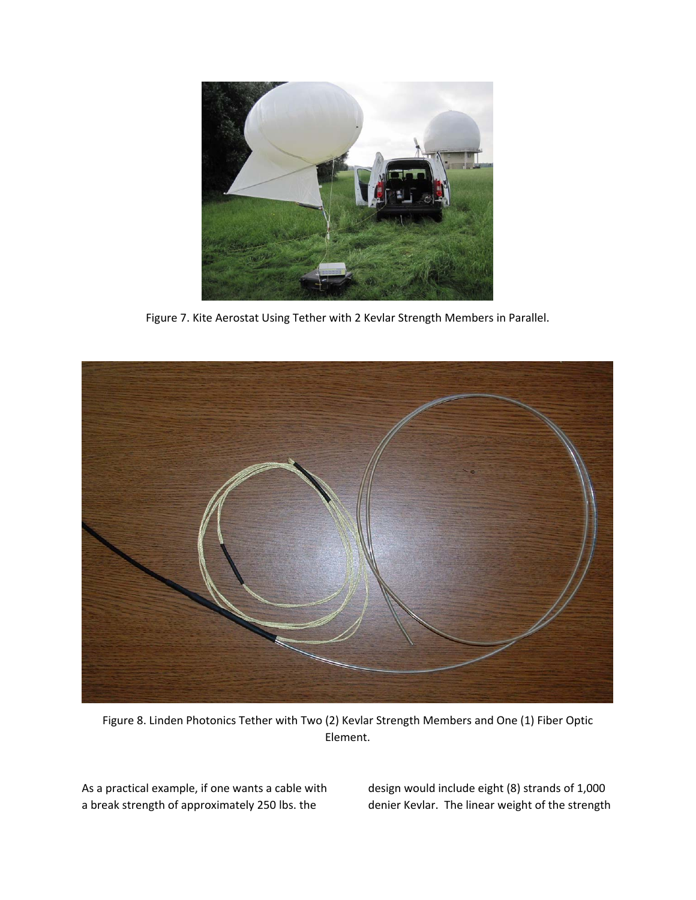

Figure 7. Kite Aerostat Using Tether with 2 Kevlar Strength Members in Parallel.



Figure 8. Linden Photonics Tether with Two (2) Kevlar Strength Members and One (1) Fiber Optic Element.

As a practical example, if one wants a cable with a break strength of approximately 250 lbs. the

design would include eight (8) strands of 1,000 denier Kevlar. The linear weight of the strength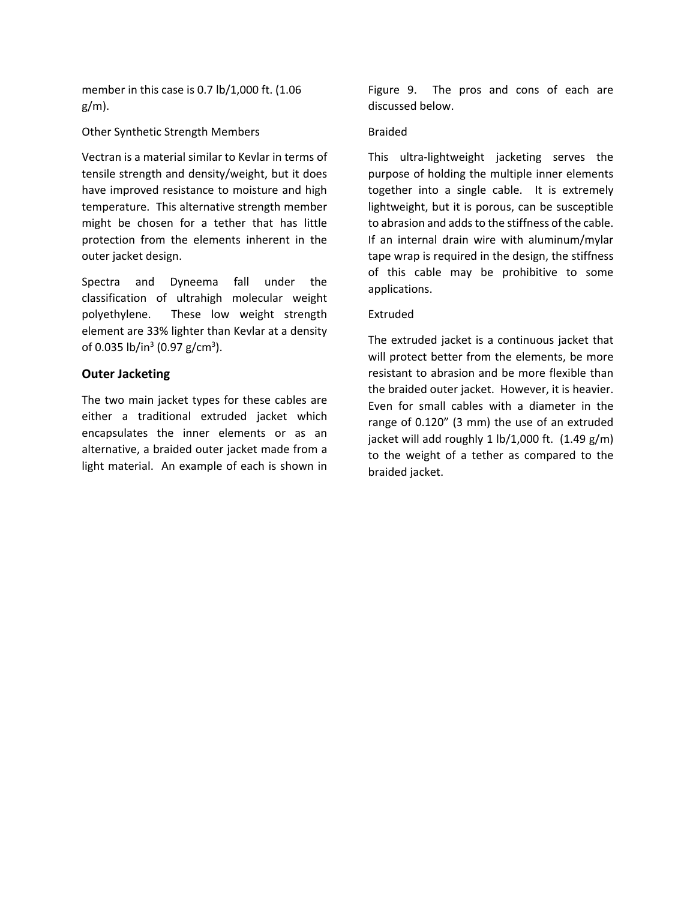member in this case is 0.7 lb/1,000 ft. (1.06 g/m).

Other Synthetic Strength Members

Vectran is a material similar to Kevlar in terms of tensile strength and density/weight, but it does have improved resistance to moisture and high temperature. This alternative strength member might be chosen for a tether that has little protection from the elements inherent in the outer jacket design.

Spectra and Dyneema fall under the classification of ultrahigh molecular weight polyethylene. These low weight strength element are 33% lighter than Kevlar at a density of 0.035 lb/in<sup>3</sup> (0.97 g/cm<sup>3</sup>).

## **Outer Jacketing**

The two main jacket types for these cables are either a traditional extruded jacket which encapsulates the inner elements or as an alternative, a braided outer jacket made from a light material. An example of each is shown in

Figure 9. The pros and cons of each are discussed below.

### Braided

This ultra-lightweight jacketing serves the purpose of holding the multiple inner elements together into a single cable. It is extremely lightweight, but it is porous, can be susceptible to abrasion and adds to the stiffness of the cable. If an internal drain wire with aluminum/mylar tape wrap is required in the design, the stiffness of this cable may be prohibitive to some applications.

### Extruded

The extruded jacket is a continuous jacket that will protect better from the elements, be more resistant to abrasion and be more flexible than the braided outer jacket. However, it is heavier. Even for small cables with a diameter in the range of 0.120" (3 mm) the use of an extruded jacket will add roughly 1 lb/1,000 ft.  $(1.49 \text{ g/m})$ to the weight of a tether as compared to the braided jacket.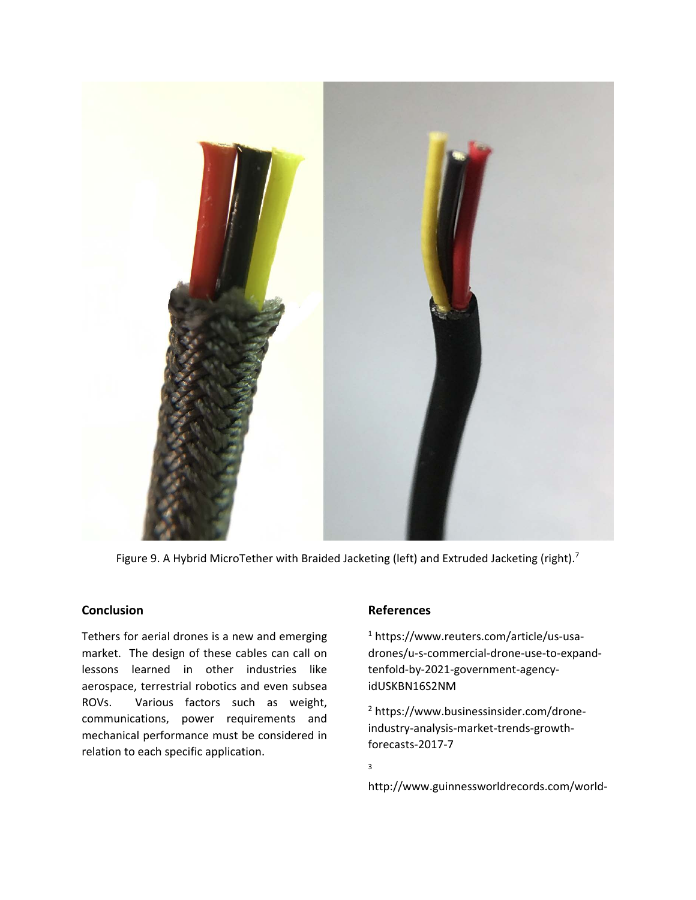

Figure 9. A Hybrid MicroTether with Braided Jacketing (left) and Extruded Jacketing (right).<sup>7</sup>

# **Conclusion**

Tethers for aerial drones is a new and emerging market. The design of these cables can call on lessons learned in other industries like aerospace, terrestrial robotics and even subsea ROVs. Various factors such as weight, communications, power requirements and mechanical performance must be considered in relation to each specific application.

## **References**

1 https://www.reuters.com/article/us-usadrones/u-s-commercial-drone-use-to-expandtenfold-by-2021-government-agencyidUSKBN16S2NM

2 https://www.businessinsider.com/droneindustry-analysis-market-trends-growthforecasts-2017-7

3

http://www.guinnessworldrecords.com/world-